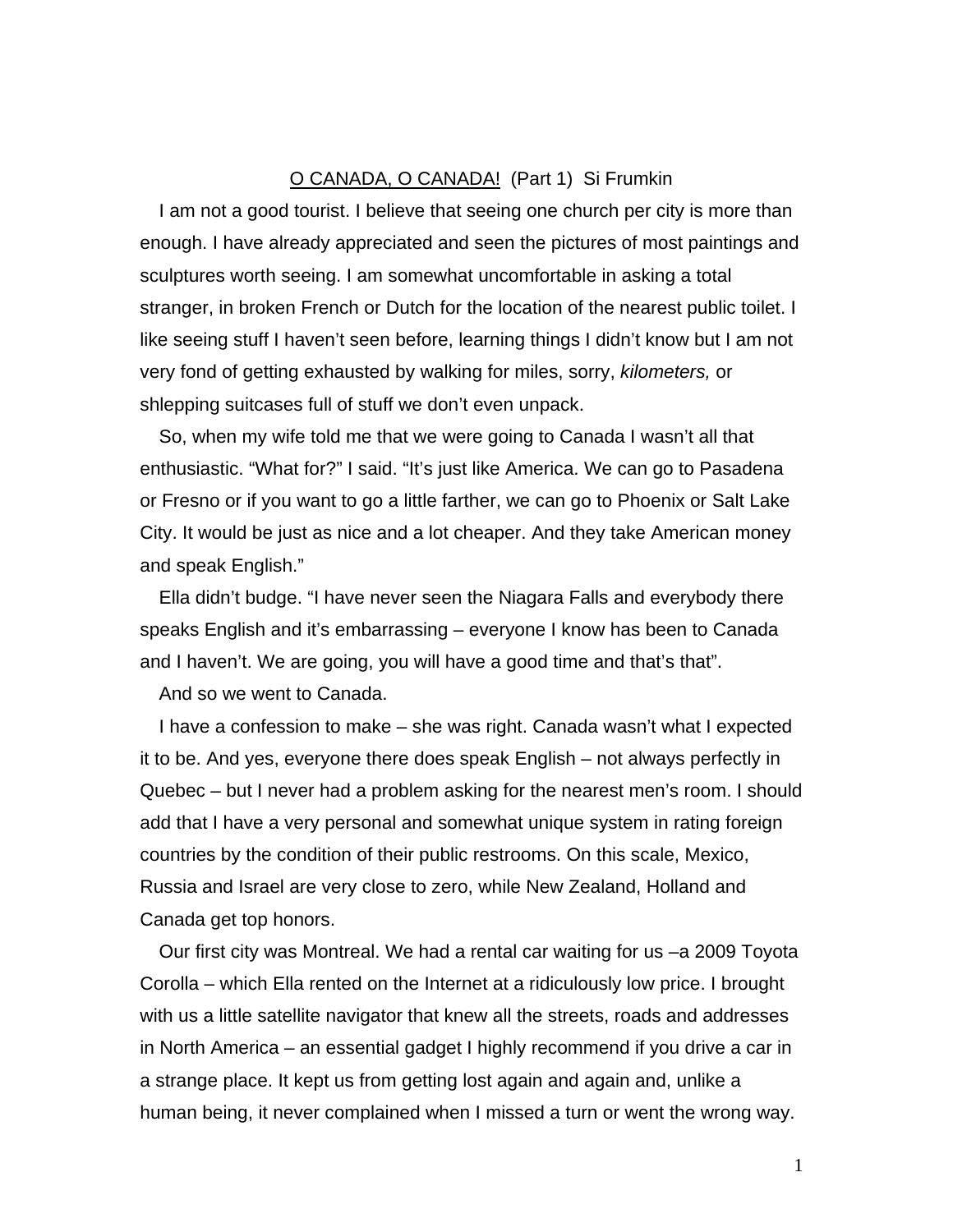## O CANADA, O CANADA! (Part 1) Si Frumkin

I am not a good tourist. I believe that seeing one church per city is more than enough. I have already appreciated and seen the pictures of most paintings and sculptures worth seeing. I am somewhat uncomfortable in asking a total stranger, in broken French or Dutch for the location of the nearest public toilet. I like seeing stuff I haven't seen before, learning things I didn't know but I am not very fond of getting exhausted by walking for miles, sorry, *kilometers,* or shlepping suitcases full of stuff we don't even unpack.

So, when my wife told me that we were going to Canada I wasn't all that enthusiastic. "What for?" I said. "It's just like America. We can go to Pasadena or Fresno or if you want to go a little farther, we can go to Phoenix or Salt Lake City. It would be just as nice and a lot cheaper. And they take American money and speak English."

Ella didn't budge. "I have never seen the Niagara Falls and everybody there speaks English and it's embarrassing – everyone I know has been to Canada and I haven't. We are going, you will have a good time and that's that".

And so we went to Canada.

I have a confession to make – she was right. Canada wasn't what I expected it to be. And yes, everyone there does speak English – not always perfectly in Quebec – but I never had a problem asking for the nearest men's room. I should add that I have a very personal and somewhat unique system in rating foreign countries by the condition of their public restrooms. On this scale, Mexico, Russia and Israel are very close to zero, while New Zealand, Holland and Canada get top honors.

Our first city was Montreal. We had a rental car waiting for us –a 2009 Toyota Corolla – which Ella rented on the Internet at a ridiculously low price. I brought with us a little satellite navigator that knew all the streets, roads and addresses in North America – an essential gadget I highly recommend if you drive a car in a strange place. It kept us from getting lost again and again and, unlike a human being, it never complained when I missed a turn or went the wrong way.

1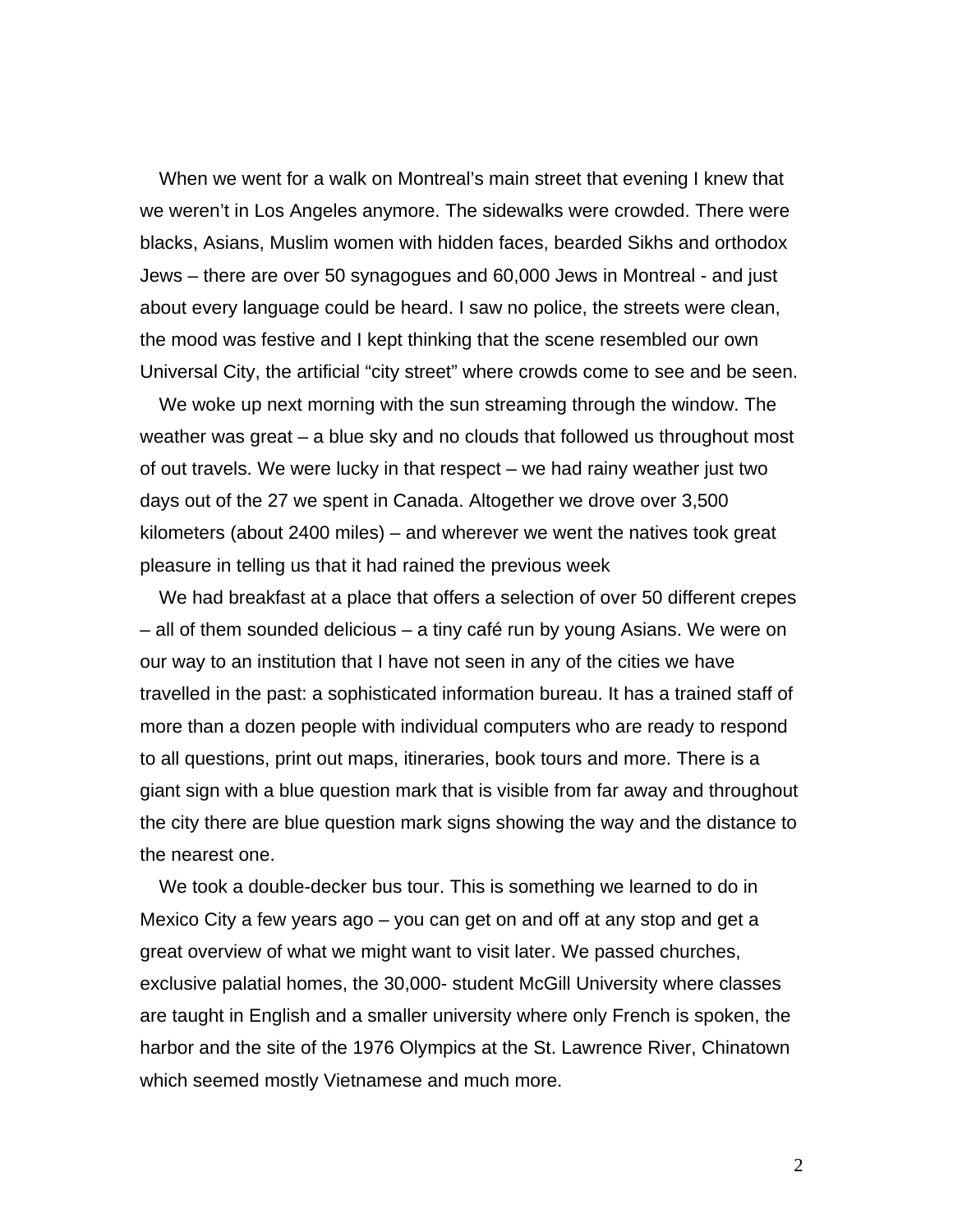When we went for a walk on Montreal's main street that evening I knew that we weren't in Los Angeles anymore. The sidewalks were crowded. There were blacks, Asians, Muslim women with hidden faces, bearded Sikhs and orthodox Jews – there are over 50 synagogues and 60,000 Jews in Montreal - and just about every language could be heard. I saw no police, the streets were clean, the mood was festive and I kept thinking that the scene resembled our own Universal City, the artificial "city street" where crowds come to see and be seen.

We woke up next morning with the sun streaming through the window. The weather was great – a blue sky and no clouds that followed us throughout most of out travels. We were lucky in that respect – we had rainy weather just two days out of the 27 we spent in Canada. Altogether we drove over 3,500 kilometers (about 2400 miles) – and wherever we went the natives took great pleasure in telling us that it had rained the previous week

We had breakfast at a place that offers a selection of over 50 different crepes – all of them sounded delicious – a tiny café run by young Asians. We were on our way to an institution that I have not seen in any of the cities we have travelled in the past: a sophisticated information bureau. It has a trained staff of more than a dozen people with individual computers who are ready to respond to all questions, print out maps, itineraries, book tours and more. There is a giant sign with a blue question mark that is visible from far away and throughout the city there are blue question mark signs showing the way and the distance to the nearest one.

We took a double-decker bus tour. This is something we learned to do in Mexico City a few years ago – you can get on and off at any stop and get a great overview of what we might want to visit later. We passed churches, exclusive palatial homes, the 30,000- student McGill University where classes are taught in English and a smaller university where only French is spoken, the harbor and the site of the 1976 Olympics at the St. Lawrence River, Chinatown which seemed mostly Vietnamese and much more.